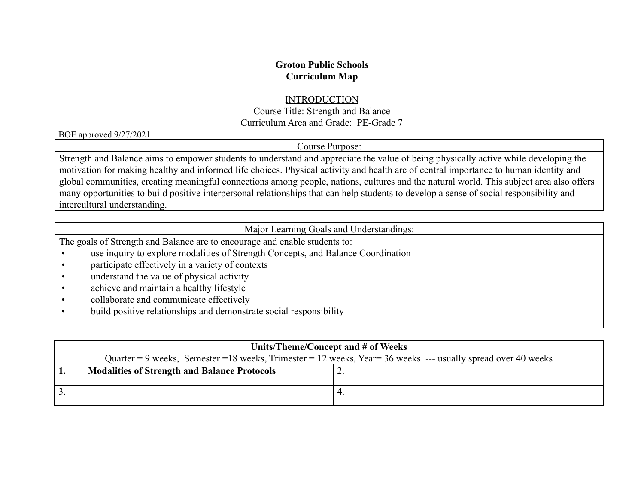## **Groton Public Schools Curriculum Map**

#### **INTRODUCTION**

Course Title: Strength and Balance Curriculum Area and Grade: PE-Grade 7

BOE approved 9/27/2021

## Course Purpose:

Strength and Balance aims to empower students to understand and appreciate the value of being physically active while developing the motivation for making healthy and informed life choices. Physical activity and health are of central importance to human identity and global communities, creating meaningful connections among people, nations, cultures and the natural world. This subject area also offers many opportunities to build positive interpersonal relationships that can help students to develop a sense of social responsibility and intercultural understanding.

Major Learning Goals and Understandings:

The goals of Strength and Balance are to encourage and enable students to:

- use inquiry to explore modalities of Strength Concepts, and Balance Coordination
- participate effectively in a variety of contexts
- understand the value of physical activity
- achieve and maintain a healthy lifestyle
- collaborate and communicate effectively
- build positive relationships and demonstrate social responsibility

| Units/Theme/Concept and # of Weeks |                                                                                                                |  |  |
|------------------------------------|----------------------------------------------------------------------------------------------------------------|--|--|
|                                    | Quarter = 9 weeks, Semester = 18 weeks, Trimester = 12 weeks, Year = 36 weeks --- usually spread over 40 weeks |  |  |
|                                    | <b>Modalities of Strength and Balance Protocols</b>                                                            |  |  |
|                                    |                                                                                                                |  |  |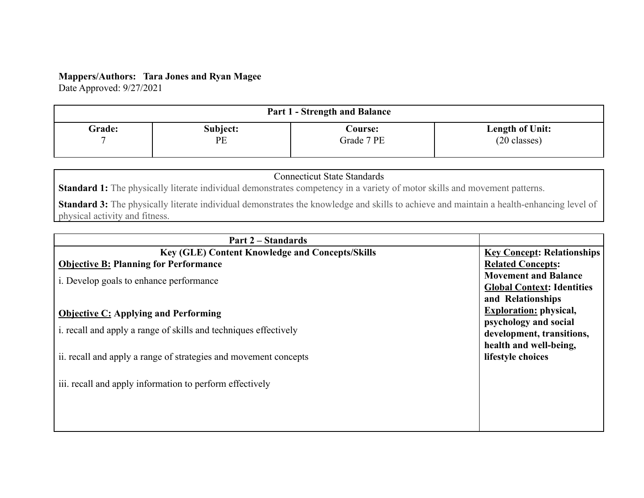### **Mappers/Authors: Tara Jones and Ryan Magee**

Date Approved: 9/27/2021

| <b>Part 1 - Strength and Balance</b> |          |                |                        |  |
|--------------------------------------|----------|----------------|------------------------|--|
| <b>Grade:</b>                        | Subject: | <b>Course:</b> | <b>Length of Unit:</b> |  |
|                                      | PE       | Grade 7 PE     | $(20 \text{ classes})$ |  |

# Connecticut State Standards

**Standard 1:** The physically literate individual demonstrates competency in a variety of motor skills and movement patterns.

**Standard 3:** The physically literate individual demonstrates the knowledge and skills to achieve and maintain a health-enhancing level of physical activity and fitness.

| Part 2 – Standards                                               |                                   |
|------------------------------------------------------------------|-----------------------------------|
| <b>Key (GLE) Content Knowledge and Concepts/Skills</b>           | <b>Key Concept: Relationships</b> |
| <b>Objective B: Planning for Performance</b>                     | <b>Related Concepts:</b>          |
| i. Develop goals to enhance performance                          | <b>Movement and Balance</b>       |
|                                                                  | <b>Global Context: Identities</b> |
|                                                                  | and Relationships                 |
| <b>Objective C: Applying and Performing</b>                      | <b>Exploration:</b> physical,     |
| i. recall and apply a range of skills and techniques effectively | psychology and social             |
|                                                                  | development, transitions,         |
|                                                                  | health and well-being,            |
| ii. recall and apply a range of strategies and movement concepts | lifestyle choices                 |
|                                                                  |                                   |
| iii. recall and apply information to perform effectively         |                                   |
|                                                                  |                                   |
|                                                                  |                                   |
|                                                                  |                                   |
|                                                                  |                                   |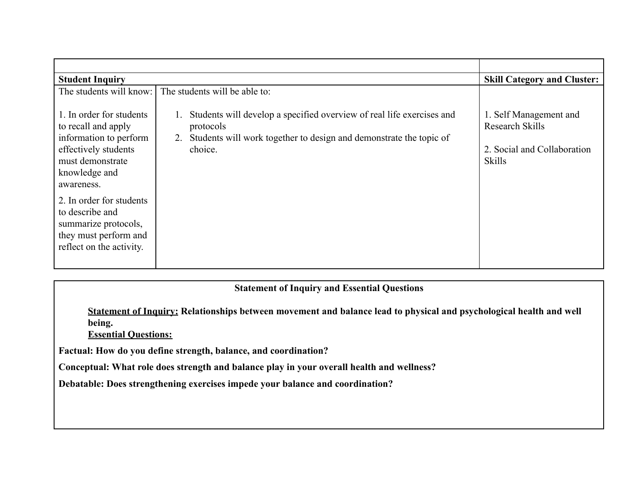| <b>Student Inquiry</b>                                                                                                                               | <b>Skill Category and Cluster:</b>                                                                                                                                        |                                                                                                  |
|------------------------------------------------------------------------------------------------------------------------------------------------------|---------------------------------------------------------------------------------------------------------------------------------------------------------------------------|--------------------------------------------------------------------------------------------------|
| The students will know: I                                                                                                                            | The students will be able to:                                                                                                                                             |                                                                                                  |
| 1. In order for students<br>to recall and apply<br>information to perform<br>effectively students<br>must demonstrate<br>knowledge and<br>awareness. | Students will develop a specified overview of real life exercises and<br>protocols<br>Students will work together to design and demonstrate the topic of<br>2.<br>choice. | 1. Self Management and<br><b>Research Skills</b><br>2. Social and Collaboration<br><b>Skills</b> |
| 2. In order for students<br>to describe and<br>summarize protocols,<br>they must perform and<br>reflect on the activity.                             |                                                                                                                                                                           |                                                                                                  |

# **Statement of Inquiry and Essential Questions**

**Statement of Inquiry: Relationships between movement and balance lead to physical and psychological health and well being.**

**Essential Questions:**

**Factual: How do you define strength, balance, and coordination?**

**Conceptual: What role does strength and balance play in your overall health and wellness?**

**Debatable: Does strengthening exercises impede your balance and coordination?**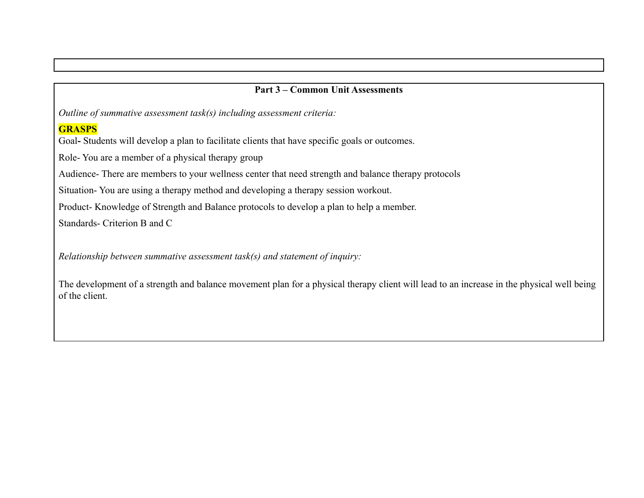### **Part 3 – Common Unit Assessments**

*Outline of summative assessment task(s) including assessment criteria:*

# **GRASPS**

Goal**-** Students will develop a plan to facilitate clients that have specific goals or outcomes.

Role- You are a member of a physical therapy group

Audience- There are members to your wellness center that need strength and balance therapy protocols

Situation- You are using a therapy method and developing a therapy session workout.

Product- Knowledge of Strength and Balance protocols to develop a plan to help a member.

Standards- Criterion B and C

*Relationship between summative assessment task(s) and statement of inquiry:*

The development of a strength and balance movement plan for a physical therapy client will lead to an increase in the physical well being of the client.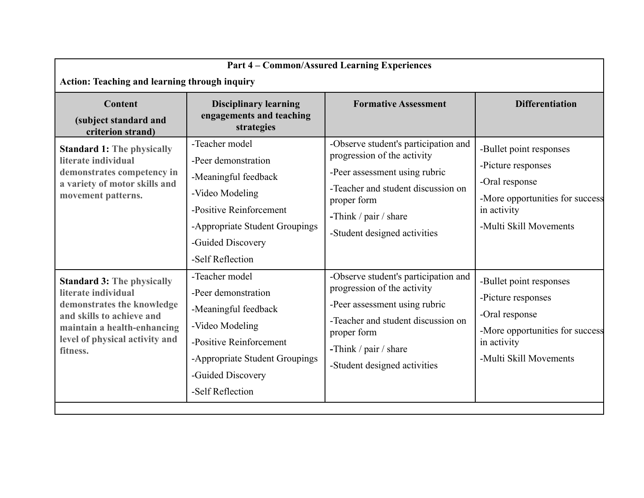| <b>Part 4 - Common/Assured Learning Experiences</b><br><b>Action: Teaching and learning through inquiry</b>                                                                                      |                                                                                                                                                                                        |                                                                                                                                                                                                                    |                                                                                                                                             |  |
|--------------------------------------------------------------------------------------------------------------------------------------------------------------------------------------------------|----------------------------------------------------------------------------------------------------------------------------------------------------------------------------------------|--------------------------------------------------------------------------------------------------------------------------------------------------------------------------------------------------------------------|---------------------------------------------------------------------------------------------------------------------------------------------|--|
| <b>Content</b><br>(subject standard and<br>criterion strand)                                                                                                                                     | <b>Disciplinary learning</b><br>engagements and teaching<br>strategies                                                                                                                 | <b>Formative Assessment</b>                                                                                                                                                                                        | <b>Differentiation</b>                                                                                                                      |  |
| <b>Standard 1: The physically</b><br>literate individual<br>demonstrates competency in<br>a variety of motor skills and<br>movement patterns.                                                    | -Teacher model<br>-Peer demonstration<br>-Meaningful feedback<br>-Video Modeling<br>-Positive Reinforcement<br>-Appropriate Student Groupings<br>-Guided Discovery<br>-Self Reflection | -Observe student's participation and<br>progression of the activity<br>-Peer assessment using rubric<br>-Teacher and student discussion on<br>proper form<br>-Think / pair / share<br>-Student designed activities | -Bullet point responses<br>-Picture responses<br>-Oral response<br>-More opportunities for success<br>in activity<br>-Multi Skill Movements |  |
| <b>Standard 3: The physically</b><br>literate individual<br>demonstrates the knowledge<br>and skills to achieve and<br>maintain a health-enhancing<br>level of physical activity and<br>fitness. | -Teacher model<br>-Peer demonstration<br>-Meaningful feedback<br>-Video Modeling<br>-Positive Reinforcement<br>-Appropriate Student Groupings<br>-Guided Discovery<br>-Self Reflection | -Observe student's participation and<br>progression of the activity<br>-Peer assessment using rubric<br>-Teacher and student discussion on<br>proper form<br>-Think / pair / share<br>-Student designed activities | -Bullet point responses<br>-Picture responses<br>-Oral response<br>-More opportunities for success<br>in activity<br>-Multi Skill Movements |  |